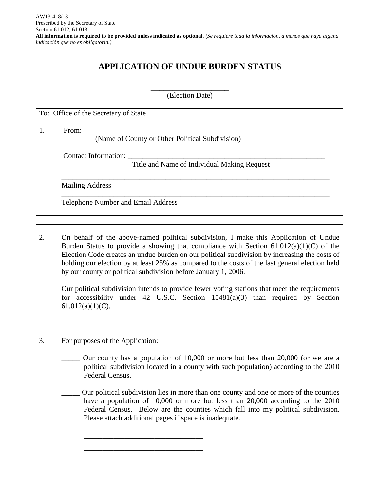## **APPLICATION OF UNDUE BURDEN STATUS**

**\_\_\_\_\_\_\_\_\_\_\_\_\_\_\_\_\_\_** (Election Date)

To: Office of the Secretary of State

1. From: \_\_\_\_\_\_\_\_\_\_\_\_\_\_\_\_\_\_\_\_\_\_\_\_\_\_\_\_\_\_\_\_\_\_\_\_\_\_\_\_\_\_\_\_\_\_\_\_\_\_\_\_\_\_\_\_\_\_\_\_\_\_\_\_

(Name of County or Other Political Subdivision)

Contact Information:

Title and Name of Individual Making Request

\_\_\_\_\_\_\_\_\_\_\_\_\_\_\_\_\_\_\_\_\_\_\_\_\_\_\_\_\_\_\_\_\_\_\_\_\_\_\_\_\_\_\_\_\_\_\_\_\_\_\_\_\_\_\_\_\_\_\_\_\_\_\_\_\_\_\_\_\_\_\_\_

\_\_\_\_\_\_\_\_\_\_\_\_\_\_\_\_\_\_\_\_\_\_\_\_\_\_\_\_\_\_\_\_\_\_\_\_\_\_\_\_\_\_\_\_\_\_\_\_\_\_\_\_\_\_\_\_\_\_\_\_\_\_\_\_\_\_\_\_\_\_\_\_

Mailing Address

Telephone Number and Email Address

2. On behalf of the above-named political subdivision, I make this Application of Undue Burden Status to provide a showing that compliance with Section  $61.012(a)(1)(C)$  of the Election Code creates an undue burden on our political subdivision by increasing the costs of holding our election by at least 25% as compared to the costs of the last general election held by our county or political subdivision before January 1, 2006.

Our political subdivision intends to provide fewer voting stations that meet the requirements for accessibility under 42 U.S.C. Section 15481(a)(3) than required by Section  $61.012(a)(1)(C)$ .

3. For purposes of the Application:

\_\_\_\_\_\_\_\_\_\_\_\_\_\_\_\_\_\_\_\_\_\_\_\_\_\_\_\_\_\_\_\_ \_\_\_\_\_\_\_\_\_\_\_\_\_\_\_\_\_\_\_\_\_\_\_\_\_\_\_\_\_\_\_\_

Our county has a population of 10,000 or more but less than 20,000 (or we are a political subdivision located in a county with such population) according to the 2010 Federal Census.

\_\_\_\_\_ Our political subdivision lies in more than one county and one or more of the counties have a population of 10,000 or more but less than 20,000 according to the 2010 Federal Census. Below are the counties which fall into my political subdivision. Please attach additional pages if space is inadequate.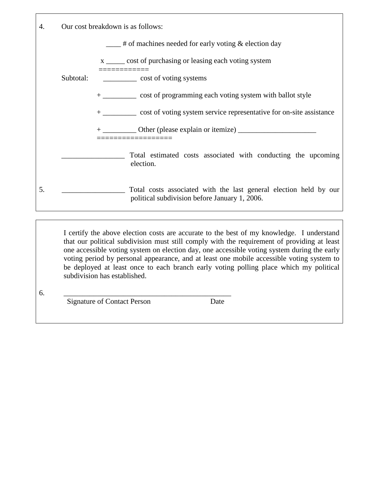| 4.  |           | Our cost breakdown is as follows:                                                                                  |  |
|-----|-----------|--------------------------------------------------------------------------------------------------------------------|--|
|     |           | $\frac{1}{1}$ # of machines needed for early voting & election day                                                 |  |
|     |           | x ______ cost of purchasing or leasing each voting system<br>===========                                           |  |
|     | Subtotal: | ______________ cost of voting systems                                                                              |  |
|     |           | + __________ cost of programming each voting system with ballot style                                              |  |
|     |           | + ___________ cost of voting system service representative for on-site assistance                                  |  |
|     |           | + ____________ Other (please explain or itemize) _______________________________<br>________________               |  |
|     |           | Total estimated costs associated with conducting the upcoming<br>election.                                         |  |
| .5. |           | Total costs associated with the last general election held by our<br>political subdivision before January 1, 2006. |  |

I certify the above election costs are accurate to the best of my knowledge. I understand that our political subdivision must still comply with the requirement of providing at least one accessible voting system on election day, one accessible voting system during the early voting period by personal appearance, and at least one mobile accessible voting system to be deployed at least once to each branch early voting polling place which my political subdivision has established.

6. \_\_\_\_\_\_\_\_\_\_\_\_\_\_\_\_\_\_\_\_\_\_\_\_\_\_\_\_\_\_\_\_\_\_\_\_\_\_\_\_\_\_\_\_\_

Signature of Contact Person Date